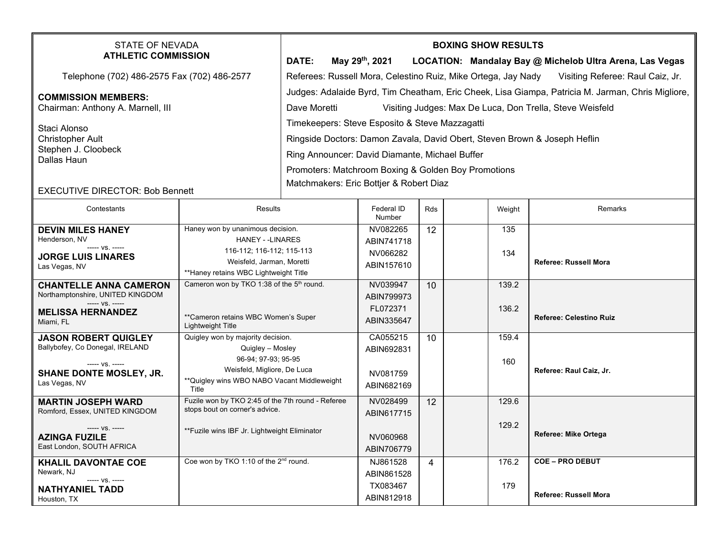|                                                                                                                                                                               |              |                             |  | <b>BOXING SHOW RESULTS</b>                                                                                           |  |  |  |  |  |  |  |
|-------------------------------------------------------------------------------------------------------------------------------------------------------------------------------|--------------|-----------------------------|--|----------------------------------------------------------------------------------------------------------------------|--|--|--|--|--|--|--|
|                                                                                                                                                                               |              |                             |  | LOCATION: Mandalay Bay @ Michelob Ultra Arena, Las Vegas                                                             |  |  |  |  |  |  |  |
|                                                                                                                                                                               |              |                             |  | Visiting Referee: Raul Caiz, Jr.                                                                                     |  |  |  |  |  |  |  |
| Judges: Adalaide Byrd, Tim Cheatham, Eric Cheek, Lisa Giampa, Patricia M. Jarman, Chris Migliore,<br>Visiting Judges: Max De Luca, Don Trella, Steve Weisfeld<br>Dave Moretti |              |                             |  |                                                                                                                      |  |  |  |  |  |  |  |
| Timekeepers: Steve Esposito & Steve Mazzagatti<br>Ringside Doctors: Damon Zavala, David Obert, Steven Brown & Joseph Heflin<br>Ring Announcer: David Diamante, Michael Buffer |              |                             |  |                                                                                                                      |  |  |  |  |  |  |  |
| Matchmakers: Eric Bottjer & Robert Diaz<br><b>EXECUTIVE DIRECTOR: Bob Bennett</b>                                                                                             |              |                             |  |                                                                                                                      |  |  |  |  |  |  |  |
|                                                                                                                                                                               | <b>DATE:</b> | May 29 <sup>th</sup> , 2021 |  | Referees: Russell Mora, Celestino Ruiz, Mike Ortega, Jay Nady<br>Promoters: Matchroom Boxing & Golden Boy Promotions |  |  |  |  |  |  |  |

| Contestants                                                                           | <b>Results</b>                                                                           | Federal ID<br>Number               | Rds | Weight     | Remarks                        |
|---------------------------------------------------------------------------------------|------------------------------------------------------------------------------------------|------------------------------------|-----|------------|--------------------------------|
| <b>DEVIN MILES HANEY</b><br>Henderson, NV<br>----- VS. -----                          | Haney won by unanimous decision.<br><b>HANEY - -LINARES</b><br>116-112; 116-112; 115-113 | NV082265<br>ABIN741718<br>NV066282 | 12  | 135<br>134 |                                |
| <b>JORGE LUIS LINARES</b><br>Las Vegas, NV                                            | Weisfeld, Jarman, Moretti<br>**Haney retains WBC Lightweight Title                       | ABIN157610                         |     |            | Referee: Russell Mora          |
| <b>CHANTELLE ANNA CAMERON</b><br>Northamptonshire, UNITED KINGDOM<br>$--- VS$ . $---$ | Cameron won by TKO 1:38 of the $5th$ round.                                              | NV039947<br>ABIN799973             | 10  | 139.2      |                                |
| <b>MELISSA HERNANDEZ</b><br>Miami, FL                                                 | **Cameron retains WBC Women's Super<br>Lightweight Title                                 | FL072371<br>ABIN335647             |     | 136.2      | <b>Referee: Celestino Ruiz</b> |
| <b>JASON ROBERT QUIGLEY</b><br>Ballybofey, Co Donegal, IRELAND                        | Quigley won by majority decision.<br>Quigley - Mosley<br>96-94; 97-93; 95-95             | CA055215<br>ABIN692831             | 10  | 159.4      |                                |
| $--- VS. ---$<br><b>SHANE DONTE MOSLEY, JR.</b><br>Las Vegas, NV                      | Weisfeld, Migliore, De Luca<br>**Quigley wins WBO NABO Vacant Middleweight<br>Title      | NV081759<br>ABIN682169             |     | 160        | Referee: Raul Caiz, Jr.        |
| <b>MARTIN JOSEPH WARD</b><br>Romford, Essex, UNITED KINGDOM                           | Fuzile won by TKO 2:45 of the 7th round - Referee<br>stops bout on corner's advice.      | NV028499<br>ABIN617715             | 12  | 129.6      |                                |
| ----- VS. -----<br><b>AZINGA FUZILE</b><br>East London, SOUTH AFRICA                  | **Fuzile wins IBF Jr. Lightweight Eliminator                                             | NV060968<br>ABIN706779             |     | 129.2      | Referee: Mike Ortega           |
| <b>KHALIL DAVONTAE COE</b><br>Newark, NJ                                              | Coe won by TKO 1:10 of the 2 <sup>nd</sup> round.                                        | NJ861528<br>ABIN861528             | 4   | 176.2      | <b>COE - PRO DEBUT</b>         |
| ----- VS. -----<br><b>NATHYANIEL TADD</b><br>Houston, TX                              |                                                                                          | TX083467<br>ABIN812918             |     | 179        | <b>Referee: Russell Mora</b>   |